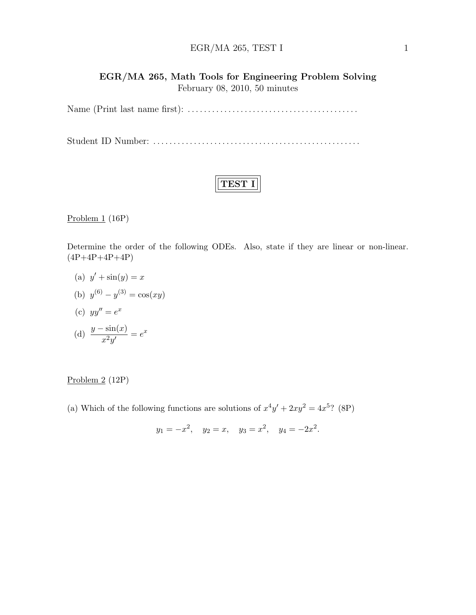### $EGR/MA 265, TEST I$  1

### EGR/MA 265, Math Tools for Engineering Problem Solving February 08, 2010, 50 minutes

Name (Print last name first): . . . . . . . . . . . . . . . . . . . . . . . . . . . . . . . . . . . . . . . . . .

Student ID Number: . . . . . . . . . . . . . . . . . . . . . . . . . . . . . . . . . . . . . . . . . . . . . . . . . . .

# TEST I

Problem  $1(16P)$ 

Determine the order of the following ODEs. Also, state if they are linear or non-linear.  $(4P+4P+4P+4P)$ 

- (a)  $y' + \sin(y) = x$
- (b)  $y^{(6)} y^{(3)} = \cos(xy)$
- (c)  $yy'' = e^x$

(d) 
$$
\frac{y - \sin(x)}{x^2 y'} = e^x
$$

#### Problem 2 (12P)

(a) Which of the following functions are solutions of  $x^4y' + 2xy^2 = 4x^5$ ? (8P)

$$
y_1 = -x^2
$$
,  $y_2 = x$ ,  $y_3 = x^2$ ,  $y_4 = -2x^2$ .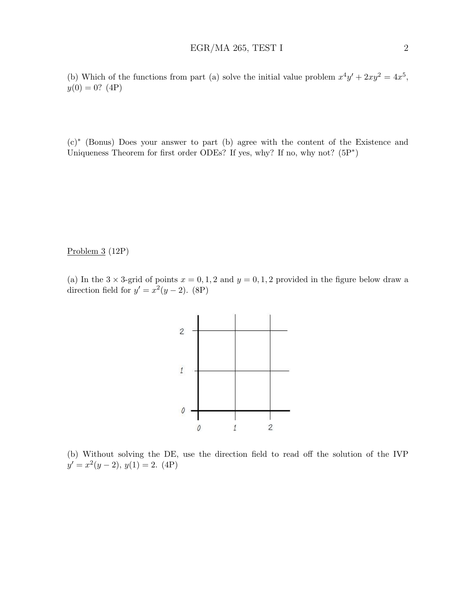(b) Which of the functions from part (a) solve the initial value problem  $x^4y' + 2xy^2 = 4x^5$ ,  $y(0) = 0?$  (4P)

(c)<sup>∗</sup> (Bonus) Does your answer to part (b) agree with the content of the Existence and Uniqueness Theorem for first order ODEs? If yes, why? If no, why not?  $(5P^*)$ 

Problem 3 (12P)

(a) In the  $3 \times 3$ -grid of points  $x = 0, 1, 2$  and  $y = 0, 1, 2$  provided in the figure below draw a direction field for  $y' = x^2(y-2)$ . (8P)



(b) Without solving the DE, use the direction field to read off the solution of the IVP  $y' = x^2(y-2), y(1) = 2. (4P)$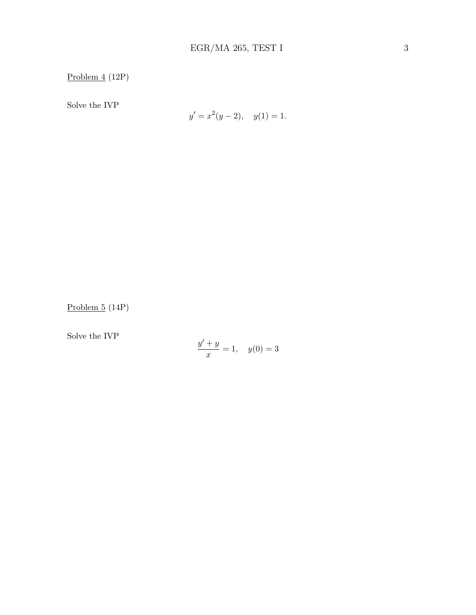Problem 4 (12P)

Solve the IVP

$$
y' = x^2(y - 2), \quad y(1) = 1.
$$

Problem 5 (14P)

Solve the IVP

$$
\frac{y' + y}{x} = 1, \quad y(0) = 3
$$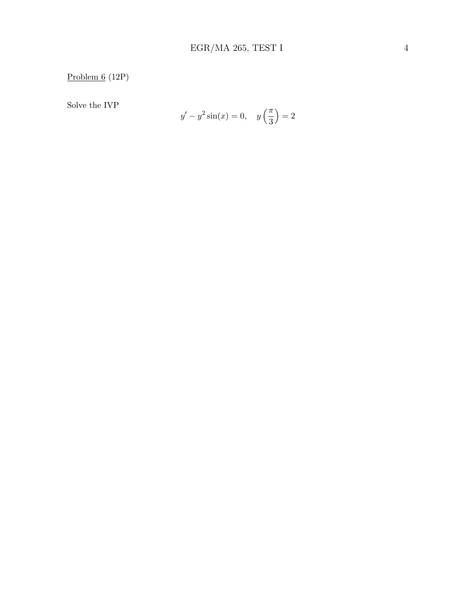Problem 6 (12P)

Solve the IVP

$$
y' - y^2 \sin(x) = 0, \quad y\left(\frac{\pi}{3}\right) = 2
$$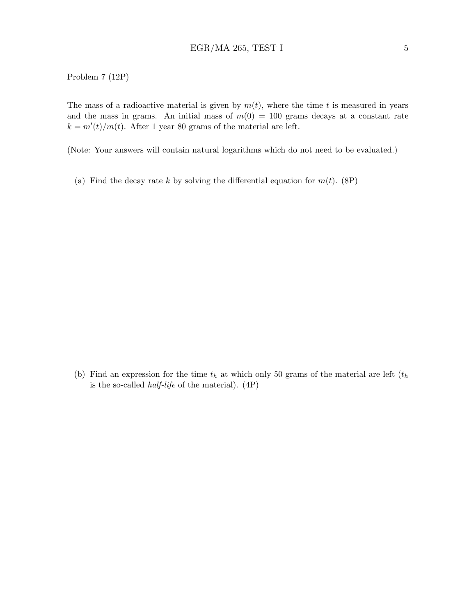#### Problem 7 (12P)

The mass of a radioactive material is given by  $m(t)$ , where the time t is measured in years and the mass in grams. An initial mass of  $m(0) = 100$  grams decays at a constant rate  $k = m'(t)/m(t)$ . After 1 year 80 grams of the material are left.

(Note: Your answers will contain natural logarithms which do not need to be evaluated.)

(a) Find the decay rate k by solving the differential equation for  $m(t)$ . (8P)

(b) Find an expression for the time  $t<sub>h</sub>$  at which only 50 grams of the material are left  $(t<sub>h</sub>$ is the so-called *half-life* of the material).  $(4P)$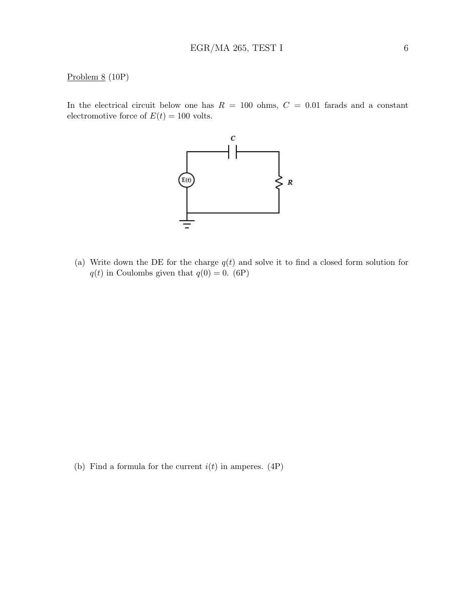#### Problem 8 (10P)

In the electrical circuit below one has  $R = 100$  ohms,  $C = 0.01$  farads and a constant electromotive force of  $E(t) = 100$  volts.



(a) Write down the DE for the charge  $q(t)$  and solve it to find a closed form solution for  $q(t)$  in Coulombs given that  $q(0) = 0$ . (6P)

(b) Find a formula for the current  $i(t)$  in amperes. (4P)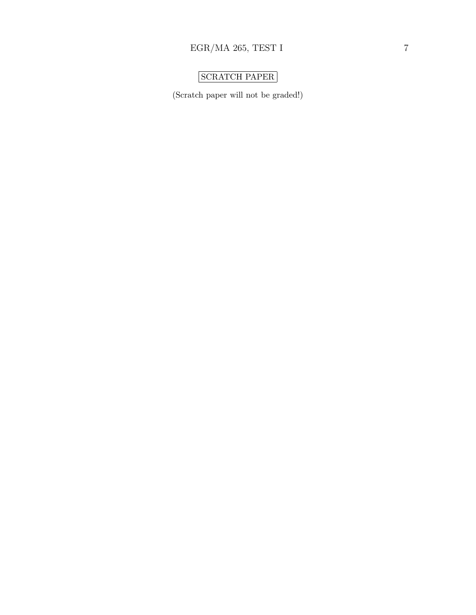# SCRATCH PAPER

(Scratch paper will not be graded!)